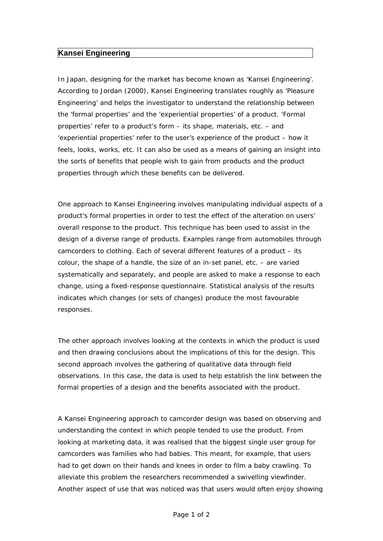## **Kansei Engineering**

In Japan, designing for the market has become known as 'Kansei Engineering'. According to Jordan (2000), Kansei Engineering translates roughly as 'Pleasure Engineering' and helps the investigator to understand the relationship between the 'formal properties' and the 'experiential properties' of a product. 'Formal properties' refer to a product's form – its shape, materials, etc. – and 'experiential properties' refer to the user's experience of the product – how it feels, looks, works, etc. It can also be used as a means of gaining an insight into the sorts of benefits that people wish to gain from products and the product properties through which these benefits can be delivered.

One approach to Kansei Engineering involves manipulating individual aspects of a product's formal properties in order to test the effect of the alteration on users' overall response to the product. This technique has been used to assist in the design of a diverse range of products. Examples range from automobiles through camcorders to clothing. Each of several different features of a product – its colour, the shape of a handle, the size of an in-set panel, etc. – are varied systematically and separately, and people are asked to make a response to each change, using a fixed-response questionnaire. Statistical analysis of the results indicates which changes (or sets of changes) produce the most favourable responses.

The other approach involves looking at the contexts in which the product is used and then drawing conclusions about the implications of this for the design. This second approach involves the gathering of qualitative data through field observations. In this case, the data is used to help establish the link between the formal properties of a design and the benefits associated with the product.

A Kansei Engineering approach to camcorder design was based on observing and understanding the context in which people tended to use the product. From looking at marketing data, it was realised that the biggest single user group for camcorders was families who had babies. This meant, for example, that users had to get down on their hands and knees in order to film a baby crawling. To alleviate this problem the researchers recommended a swivelling viewfinder. Another aspect of use that was noticed was that users would often enjoy showing